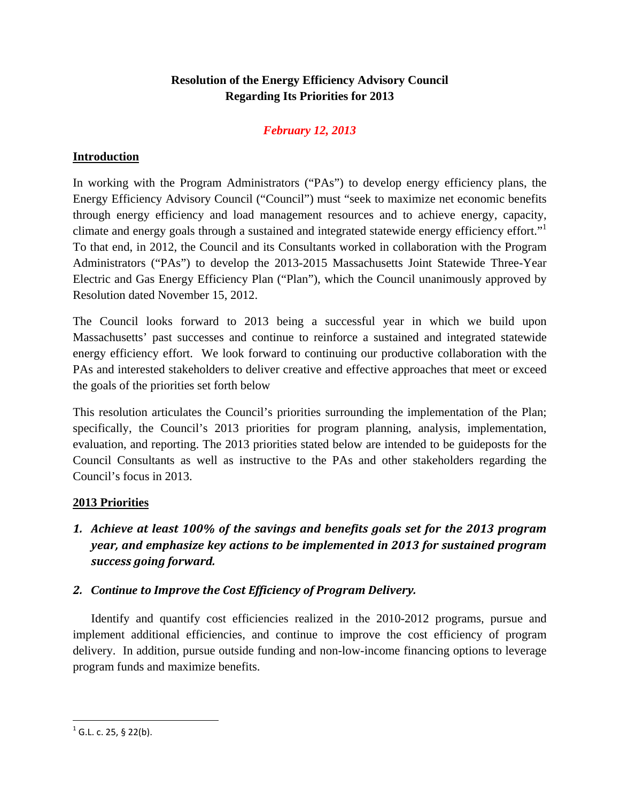## **Resolution of the Energy Efficiency Advisory Council Regarding Its Priorities for 2013**

# *February 12, 2013*

#### **Introduction**

In working with the Program Administrators ("PAs") to develop energy efficiency plans, the Energy Efficiency Advisory Council ("Council") must "seek to maximize net economic benefits through energy efficiency and load management resources and to achieve energy, capacity, climate and energy goals through a sustained and integrated statewide energy efficiency effort."<sup>1</sup> To that end, in 2012, the Council and its Consultants worked in collaboration with the Program Administrators ("PAs") to develop the 2013-2015 Massachusetts Joint Statewide Three-Year Electric and Gas Energy Efficiency Plan ("Plan"), which the Council unanimously approved by Resolution dated November 15, 2012.

The Council looks forward to 2013 being a successful year in which we build upon Massachusetts' past successes and continue to reinforce a sustained and integrated statewide energy efficiency effort. We look forward to continuing our productive collaboration with the PAs and interested stakeholders to deliver creative and effective approaches that meet or exceed the goals of the priorities set forth below

This resolution articulates the Council's priorities surrounding the implementation of the Plan; specifically, the Council's 2013 priorities for program planning, analysis, implementation, evaluation, and reporting. The 2013 priorities stated below are intended to be guideposts for the Council Consultants as well as instructive to the PAs and other stakeholders regarding the Council's focus in 2013.

## **2013 Priorities**

# *1. Achieve at least 100% of the savings and benefits goals set for the 2013 program year, and emphasize key actions to be implemented in 2013 for sustained program success going forward.*

## *2. Continue to Improve the Cost Efficiency of Program Delivery.*

Identify and quantify cost efficiencies realized in the 2010-2012 programs, pursue and implement additional efficiencies, and continue to improve the cost efficiency of program delivery. In addition, pursue outside funding and non-low-income financing options to leverage program funds and maximize benefits.

  $^{1}$  G.L. c. 25, § 22(b).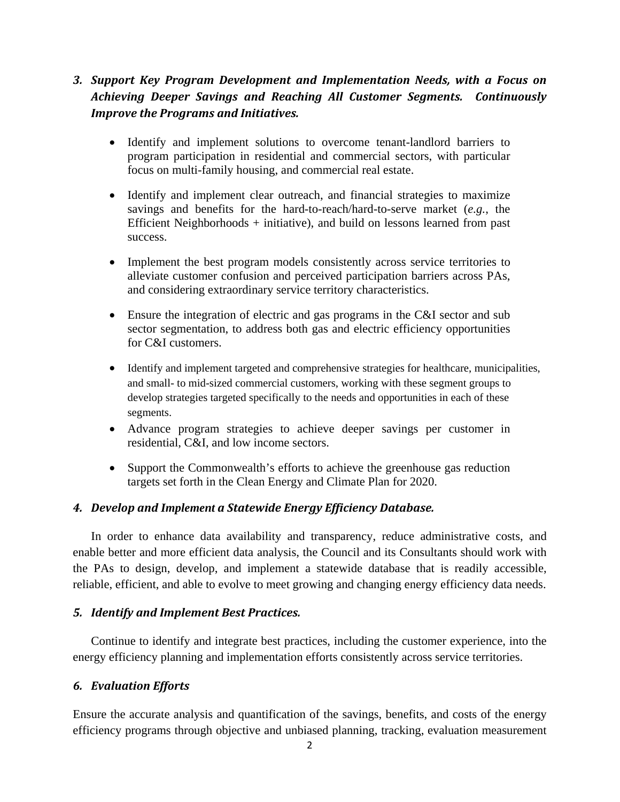## *3. Support Key Program Development and Implementation Needs, with a Focus on Achieving Deeper Savings and Reaching All Customer Segments. Continuously Improve the Programs and Initiatives.*

- Identify and implement solutions to overcome tenant-landlord barriers to program participation in residential and commercial sectors, with particular focus on multi-family housing, and commercial real estate.
- Identify and implement clear outreach, and financial strategies to maximize savings and benefits for the hard-to-reach/hard-to-serve market (*e.g.*, the Efficient Neighborhoods + initiative), and build on lessons learned from past success.
- Implement the best program models consistently across service territories to alleviate customer confusion and perceived participation barriers across PAs, and considering extraordinary service territory characteristics.
- Ensure the integration of electric and gas programs in the C&I sector and sub sector segmentation, to address both gas and electric efficiency opportunities for C&I customers.
- Identify and implement targeted and comprehensive strategies for healthcare, municipalities, and small- to mid-sized commercial customers, working with these segment groups to develop strategies targeted specifically to the needs and opportunities in each of these segments.
- Advance program strategies to achieve deeper savings per customer in residential, C&I, and low income sectors.
- Support the Commonwealth's efforts to achieve the greenhouse gas reduction targets set forth in the Clean Energy and Climate Plan for 2020.

#### *4. Develop and Implement a Statewide Energy Efficiency Database.*

In order to enhance data availability and transparency, reduce administrative costs, and enable better and more efficient data analysis, the Council and its Consultants should work with the PAs to design, develop, and implement a statewide database that is readily accessible, reliable, efficient, and able to evolve to meet growing and changing energy efficiency data needs.

#### *5. Identify and Implement Best Practices.*

Continue to identify and integrate best practices, including the customer experience, into the energy efficiency planning and implementation efforts consistently across service territories.

#### *6. Evaluation Efforts*

Ensure the accurate analysis and quantification of the savings, benefits, and costs of the energy efficiency programs through objective and unbiased planning, tracking, evaluation measurement